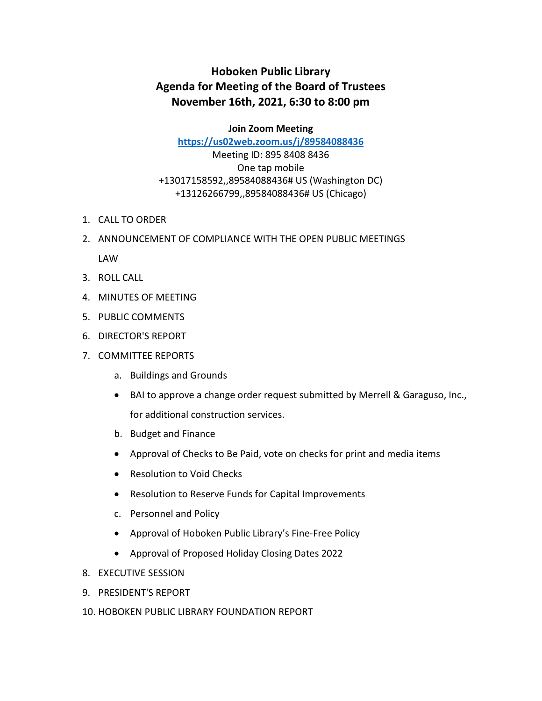## **Hoboken Public Library Agenda for Meeting of the Board of Trustees November 16th, 2021, 6:30 to 8:00 pm**

**Join Zoom Meeting**

**<https://us02web.zoom.us/j/89584088436>**

Meeting ID: 895 8408 8436 One tap mobile +13017158592,,89584088436# US (Washington DC) +13126266799,,89584088436# US (Chicago)

- 1. CALL TO ORDER
- 2. ANNOUNCEMENT OF COMPLIANCE WITH THE OPEN PUBLIC MEETINGS LAW
- 3. ROLL CALL
- 4. MINUTES OF MEETING
- 5. PUBLIC COMMENTS
- 6. DIRECTOR'S REPORT
- 7. COMMITTEE REPORTS
	- a. Buildings and Grounds
	- BAI to approve a change order request submitted by Merrell & Garaguso, Inc., for additional construction services.
	- b. Budget and Finance
	- Approval of Checks to Be Paid, vote on checks for print and media items
	- Resolution to Void Checks
	- Resolution to Reserve Funds for Capital Improvements
	- c. Personnel and Policy
	- Approval of Hoboken Public Library's Fine-Free Policy
	- Approval of Proposed Holiday Closing Dates 2022
- 8. EXECUTIVE SESSION
- 9. PRESIDENT'S REPORT
- 10. HOBOKEN PUBLIC LIBRARY FOUNDATION REPORT